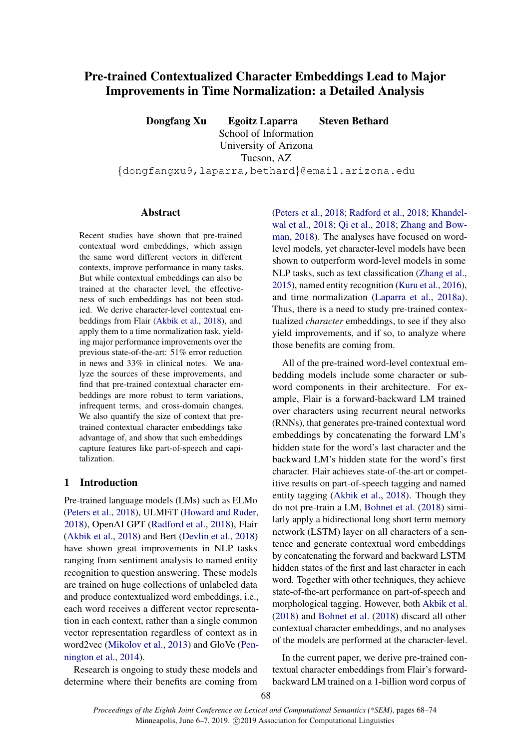# Pre-trained Contextualized Character Embeddings Lead to Major Improvements in Time Normalization: a Detailed Analysis

Dongfang Xu Egoitz Laparra Steven Bethard School of Information University of Arizona Tucson, AZ {dongfangxu9,laparra,bethard}@email.arizona.edu

# Abstract

Recent studies have shown that pre-trained contextual word embeddings, which assign the same word different vectors in different contexts, improve performance in many tasks. But while contextual embeddings can also be trained at the character level, the effectiveness of such embeddings has not been studied. We derive character-level contextual embeddings from Flair [\(Akbik et al.,](#page-5-0) [2018\)](#page-5-0), and apply them to a time normalization task, yielding major performance improvements over the previous state-of-the-art: 51% error reduction in news and 33% in clinical notes. We analyze the sources of these improvements, and find that pre-trained contextual character embeddings are more robust to term variations, infrequent terms, and cross-domain changes. We also quantify the size of context that pretrained contextual character embeddings take advantage of, and show that such embeddings capture features like part-of-speech and capitalization.

# 1 Introduction

Pre-trained language models (LMs) such as ELMo [\(Peters et al.,](#page-5-1) [2018\)](#page-5-1), ULMFiT [\(Howard and Ruder,](#page-5-2) [2018\)](#page-5-2), OpenAI GPT [\(Radford et al.,](#page-5-3) [2018\)](#page-5-3), Flair [\(Akbik et al.,](#page-5-0) [2018\)](#page-5-0) and Bert [\(Devlin et al.,](#page-5-4) [2018\)](#page-5-4) have shown great improvements in NLP tasks ranging from sentiment analysis to named entity recognition to question answering. These models are trained on huge collections of unlabeled data and produce contextualized word embeddings, i.e., each word receives a different vector representation in each context, rather than a single common vector representation regardless of context as in word2vec [\(Mikolov et al.,](#page-5-5) [2013\)](#page-5-5) and GloVe [\(Pen](#page-5-6)[nington et al.,](#page-5-6) [2014\)](#page-5-6).

Research is ongoing to study these models and determine where their benefits are coming from [\(Peters et al.,](#page-5-1) [2018;](#page-5-1) [Radford et al.,](#page-5-3) [2018;](#page-5-3) [Khandel](#page-5-7)[wal et al.,](#page-5-7) [2018;](#page-5-7) [Qi et al.,](#page-5-8) [2018;](#page-5-8) [Zhang and Bow](#page-5-9)[man,](#page-5-9) [2018\)](#page-5-9). The analyses have focused on wordlevel models, yet character-level models have been shown to outperform word-level models in some NLP tasks, such as text classification [\(Zhang et al.,](#page-5-10) [2015\)](#page-5-10), named entity recognition [\(Kuru et al.,](#page-5-11) [2016\)](#page-5-11), and time normalization [\(Laparra et al.,](#page-5-12) [2018a\)](#page-5-12). Thus, there is a need to study pre-trained contextualized *character* embeddings, to see if they also yield improvements, and if so, to analyze where those benefits are coming from.

All of the pre-trained word-level contextual embedding models include some character or subword components in their architecture. For example, Flair is a forward-backward LM trained over characters using recurrent neural networks (RNNs), that generates pre-trained contextual word embeddings by concatenating the forward LM's hidden state for the word's last character and the backward LM's hidden state for the word's first character. Flair achieves state-of-the-art or competitive results on part-of-speech tagging and named entity tagging [\(Akbik et al.,](#page-5-0) [2018\)](#page-5-0). Though they do not pre-train a LM, [Bohnet et al.](#page-5-13) [\(2018\)](#page-5-13) similarly apply a bidirectional long short term memory network (LSTM) layer on all characters of a sentence and generate contextual word embeddings by concatenating the forward and backward LSTM hidden states of the first and last character in each word. Together with other techniques, they achieve state-of-the-art performance on part-of-speech and morphological tagging. However, both [Akbik et al.](#page-5-0) [\(2018\)](#page-5-0) and [Bohnet et al.](#page-5-13) [\(2018\)](#page-5-13) discard all other contextual character embeddings, and no analyses of the models are performed at the character-level.

In the current paper, we derive pre-trained contextual character embeddings from Flair's forwardbackward LM trained on a 1-billion word corpus of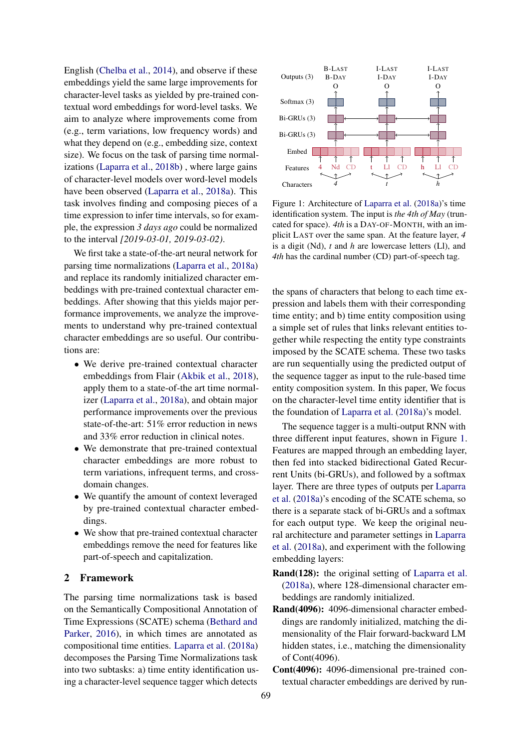English [\(Chelba et al.,](#page-5-14) [2014\)](#page-5-14), and observe if these embeddings yield the same large improvements for character-level tasks as yielded by pre-trained contextual word embeddings for word-level tasks. We aim to analyze where improvements come from (e.g., term variations, low frequency words) and what they depend on (e.g., embedding size, context size). We focus on the task of parsing time normalizations [\(Laparra et al.,](#page-5-15) [2018b\)](#page-5-15) , where large gains of character-level models over word-level models have been observed [\(Laparra et al.,](#page-5-12) [2018a\)](#page-5-12). This task involves finding and composing pieces of a time expression to infer time intervals, so for example, the expression *3 days ago* could be normalized to the interval *[2019-03-01, 2019-03-02)*.

We first take a state-of-the-art neural network for parsing time normalizations [\(Laparra et al.,](#page-5-12) [2018a\)](#page-5-12) and replace its randomly initialized character embeddings with pre-trained contextual character embeddings. After showing that this yields major performance improvements, we analyze the improvements to understand why pre-trained contextual character embeddings are so useful. Our contributions are:

- We derive pre-trained contextual character embeddings from Flair [\(Akbik et al.,](#page-5-0) [2018\)](#page-5-0), apply them to a state-of-the art time normalizer [\(Laparra et al.,](#page-5-12) [2018a\)](#page-5-12), and obtain major performance improvements over the previous state-of-the-art: 51% error reduction in news and 33% error reduction in clinical notes.
- We demonstrate that pre-trained contextual character embeddings are more robust to term variations, infrequent terms, and crossdomain changes.
- We quantify the amount of context leveraged by pre-trained contextual character embeddings.
- We show that pre-trained contextual character embeddings remove the need for features like part-of-speech and capitalization.

# 2 Framework

The parsing time normalizations task is based on the Semantically Compositional Annotation of Time Expressions (SCATE) schema [\(Bethard and](#page-5-16) [Parker,](#page-5-16) [2016\)](#page-5-16), in which times are annotated as compositional time entities. [Laparra et al.](#page-5-12) [\(2018a\)](#page-5-12) decomposes the Parsing Time Normalizations task into two subtasks: a) time entity identification using a character-level sequence tagger which detects

<span id="page-1-0"></span>

Figure 1: Architecture of [Laparra et al.](#page-5-12) [\(2018a\)](#page-5-12)'s time identification system. The input is *the 4th of May* (truncated for space). *4th* is a DAY-OF-MONTH, with an implicit LAST over the same span. At the feature layer, *4* is a digit (Nd), *t* and *h* are lowercase letters (Ll), and *4th* has the cardinal number (CD) part-of-speech tag.

the spans of characters that belong to each time expression and labels them with their corresponding time entity; and b) time entity composition using a simple set of rules that links relevant entities together while respecting the entity type constraints imposed by the SCATE schema. These two tasks are run sequentially using the predicted output of the sequence tagger as input to the rule-based time entity composition system. In this paper, We focus on the character-level time entity identifier that is the foundation of [Laparra et al.](#page-5-12) [\(2018a\)](#page-5-12)'s model.

The sequence tagger is a multi-output RNN with three different input features, shown in Figure [1.](#page-1-0) Features are mapped through an embedding layer, then fed into stacked bidirectional Gated Recurrent Units (bi-GRUs), and followed by a softmax layer. There are three types of outputs per [Laparra](#page-5-12) [et al.](#page-5-12) [\(2018a\)](#page-5-12)'s encoding of the SCATE schema, so there is a separate stack of bi-GRUs and a softmax for each output type. We keep the original neural architecture and parameter settings in [Laparra](#page-5-12) [et al.](#page-5-12) [\(2018a\)](#page-5-12), and experiment with the following embedding layers:

- Rand(128): the original setting of [Laparra et al.](#page-5-12) [\(2018a\)](#page-5-12), where 128-dimensional character embeddings are randomly initialized.
- Rand(4096): 4096-dimensional character embeddings are randomly initialized, matching the dimensionality of the Flair forward-backward LM hidden states, i.e., matching the dimensionality of Cont(4096).
- Cont(4096): 4096-dimensional pre-trained contextual character embeddings are derived by run-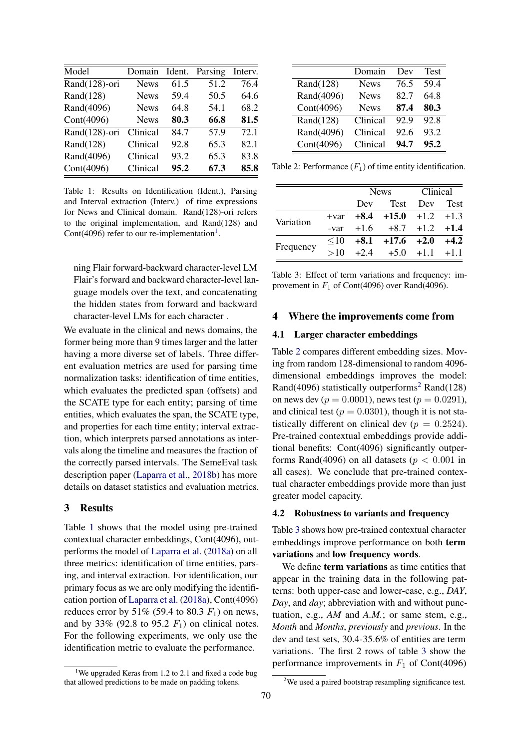<span id="page-2-1"></span>

| Domain      | Ident. |      | Interv. |
|-------------|--------|------|---------|
| <b>News</b> | 61.5   | 51.2 | 76.4    |
| <b>News</b> | 59.4   | 50.5 | 64.6    |
| <b>News</b> | 64.8   | 54.1 | 68.2    |
| <b>News</b> | 80.3   | 66.8 | 81.5    |
| Clinical    | 84.7   | 57.9 | 72.1    |
| Clinical    | 92.8   | 65.3 | 82.1    |
| Clinical    | 93.2   | 65.3 | 83.8    |
| Clinical    | 95.2   | 67.3 | 85.8    |
|             |        |      | Parsing |

Table 1: Results on Identification (Ident.), Parsing and Interval extraction (Interv.) of time expressions for News and Clinical domain. Rand(128)-ori refers to the original implementation, and Rand(128) and Cont(4096) refer to our re-implementation<sup>[1](#page-2-0)</sup>.

ning Flair forward-backward character-level LM Flair's forward and backward character-level language models over the text, and concatenating the hidden states from forward and backward character-level LMs for each character .

We evaluate in the clinical and news domains, the former being more than 9 times larger and the latter having a more diverse set of labels. Three different evaluation metrics are used for parsing time normalization tasks: identification of time entities, which evaluates the predicted span (offsets) and the SCATE type for each entity; parsing of time entities, which evaluates the span, the SCATE type, and properties for each time entity; interval extraction, which interprets parsed annotations as intervals along the timeline and measures the fraction of the correctly parsed intervals. The SemeEval task description paper [\(Laparra et al.,](#page-5-15) [2018b\)](#page-5-15) has more details on dataset statistics and evaluation metrics.

# 3 Results

Table [1](#page-2-1) shows that the model using pre-trained contextual character embeddings, Cont(4096), outperforms the model of [Laparra et al.](#page-5-12) [\(2018a\)](#page-5-12) on all three metrics: identification of time entities, parsing, and interval extraction. For identification, our primary focus as we are only modifying the identification portion of [Laparra et al.](#page-5-12) [\(2018a\)](#page-5-12), Cont(4096) reduces error by 51% (59.4 to 80.3  $F_1$ ) on news, and by 33% (92.8 to 95.2  $F_1$ ) on clinical notes. For the following experiments, we only use the identification metric to evaluate the performance.

<span id="page-2-2"></span>

|              | Domain      | Dev  | <b>Test</b> |
|--------------|-------------|------|-------------|
| Rand $(128)$ | <b>News</b> | 76.5 | 59.4        |
| Rand(4096)   | <b>News</b> | 82.7 | 64.8        |
| Cont(4096)   | <b>News</b> | 87.4 | 80.3        |
| Rand(128)    | Clinical    | 92.9 | 92.8        |
| Rand(4096)   | Clinical    | 92.6 | 93.2        |
| Cont(4096)   | Clinical    | 94.7 | 95.2        |

Table 2: Performance  $(F_1)$  of time entity identification.

<span id="page-2-4"></span>

|           |      | <b>News</b> |                                     | <b>Clinical</b> |  |
|-----------|------|-------------|-------------------------------------|-----------------|--|
|           |      | Dev         |                                     | Test Dev Test   |  |
| Variation |      |             | $+var$ $+8.4$ $+15.0$ $+1.2$ $+1.3$ |                 |  |
|           | -var |             | $+1.6$ $+8.7$ $+1.2$ $+1.4$         |                 |  |
| Frequency |      |             | $\leq 10$ +8.1 +17.6 +2.0 +4.2      |                 |  |
|           | >10  |             | $+2.4$ $+5.0$ $+1.1$ $+1.1$         |                 |  |

Table 3: Effect of term variations and frequency: improvement in  $F_1$  of Cont(4096) over Rand(4096).

#### 4 Where the improvements come from

# 4.1 Larger character embeddings

Table [2](#page-2-2) compares different embedding sizes. Moving from random 128-dimensional to random 4096 dimensional embeddings improves the model: Rand(4096) statistically outperforms<sup>[2](#page-2-3)</sup> Rand(128) on news dev ( $p = 0.0001$ ), news test ( $p = 0.0291$ ), and clinical test ( $p = 0.0301$ ), though it is not statistically different on clinical dev ( $p = 0.2524$ ). Pre-trained contextual embeddings provide additional benefits: Cont(4096) significantly outperforms Rand(4096) on all datasets ( $p < 0.001$  in all cases). We conclude that pre-trained contextual character embeddings provide more than just greater model capacity.

#### 4.2 Robustness to variants and frequency

Table [3](#page-2-4) shows how pre-trained contextual character embeddings improve performance on both term variations and low frequency words.

We define **term variations** as time entities that appear in the training data in the following patterns: both upper-case and lower-case, e.g., *DAY*, *Day*, and *day*; abbreviation with and without punctuation, e.g., *AM* and *A.M.*; or same stem, e.g., *Month* and *Months*, *previously* and *previous*. In the dev and test sets, 30.4-35.6% of entities are term variations. The first 2 rows of table [3](#page-2-4) show the performance improvements in  $F_1$  of Cont(4096)

<span id="page-2-0"></span><sup>&</sup>lt;sup>1</sup>We upgraded Keras from 1.2 to 2.1 and fixed a code bug that allowed predictions to be made on padding tokens.

<span id="page-2-3"></span><sup>&</sup>lt;sup>2</sup>We used a paired bootstrap resampling significance test.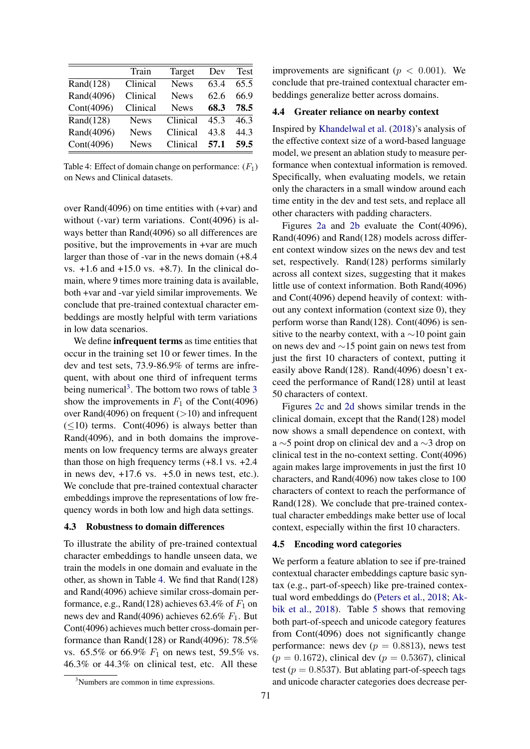<span id="page-3-1"></span>

|              | Train       | Target      | Dev  | <b>Test</b> |
|--------------|-------------|-------------|------|-------------|
| Rand $(128)$ | Clinical    | <b>News</b> | 63.4 | 65.5        |
| Rand(4096)   | Clinical    | <b>News</b> | 62.6 | 66.9        |
| Cont(4096)   | Clinical    | <b>News</b> | 68.3 | 78.5        |
| Rand(128)    | <b>News</b> | Clinical    | 453  | 46.3        |
| Rand(4096)   | <b>News</b> | Clinical    | 43.8 | 44.3        |
| Cont(4096)   | <b>News</b> | Clinical    | 57.1 | 59.5        |

Table 4: Effect of domain change on performance:  $(F_1)$ on News and Clinical datasets.

over Rand(4096) on time entities with (+var) and without (-var) term variations. Cont(4096) is always better than Rand(4096) so all differences are positive, but the improvements in +var are much larger than those of -var in the news domain (+8.4 vs. +1.6 and +15.0 vs. +8.7). In the clinical domain, where 9 times more training data is available, both +var and -var yield similar improvements. We conclude that pre-trained contextual character embeddings are mostly helpful with term variations in low data scenarios.

We define **infrequent terms** as time entities that occur in the training set 10 or fewer times. In the dev and test sets, 73.9-86.9% of terms are infrequent, with about one third of infrequent terms being numerical<sup>[3](#page-2-4)</sup>. The bottom two rows of table  $3$ show the improvements in  $F_1$  of the Cont(4096) over Rand(4096) on frequent  $(>10)$  and infrequent  $(\leq 10)$  terms. Cont(4096) is always better than Rand(4096), and in both domains the improvements on low frequency terms are always greater than those on high frequency terms (+8.1 vs. +2.4 in news dev,  $+17.6$  vs.  $+5.0$  in news test, etc.). We conclude that pre-trained contextual character embeddings improve the representations of low frequency words in both low and high data settings.

# 4.3 Robustness to domain differences

To illustrate the ability of pre-trained contextual character embeddings to handle unseen data, we train the models in one domain and evaluate in the other, as shown in Table [4.](#page-3-1) We find that Rand(128) and Rand(4096) achieve similar cross-domain performance, e.g., Rand(128) achieves 63.4% of  $F_1$  on news dev and Rand(4096) achieves 62.6%  $F_1$ . But Cont(4096) achieves much better cross-domain performance than Rand(128) or Rand(4096): 78.5% vs. 65.5% or 66.9%  $F_1$  on news test, 59.5% vs. 46.3% or 44.3% on clinical test, etc. All these

<span id="page-3-0"></span><sup>3</sup>Numbers are common in time expressions.

improvements are significant ( $p < 0.001$ ). We conclude that pre-trained contextual character embeddings generalize better across domains.

# 4.4 Greater reliance on nearby context

Inspired by [Khandelwal et al.](#page-5-7) [\(2018\)](#page-5-7)'s analysis of the effective context size of a word-based language model, we present an ablation study to measure performance when contextual information is removed. Specifically, when evaluating models, we retain only the characters in a small window around each time entity in the dev and test sets, and replace all other characters with padding characters.

Figures [2a](#page-4-0) and [2b](#page-4-0) evaluate the Cont(4096), Rand(4096) and Rand(128) models across different context window sizes on the news dev and test set, respectively. Rand(128) performs similarly across all context sizes, suggesting that it makes little use of context information. Both Rand(4096) and Cont(4096) depend heavily of context: without any context information (context size 0), they perform worse than Rand(128). Cont(4096) is sensitive to the nearby context, with a  $\sim$ 10 point gain on news dev and ∼15 point gain on news test from just the first 10 characters of context, putting it easily above Rand(128). Rand(4096) doesn't exceed the performance of Rand(128) until at least 50 characters of context.

Figures [2c](#page-4-0) and [2d](#page-4-0) shows similar trends in the clinical domain, except that the Rand(128) model now shows a small dependence on context, with a ∼5 point drop on clinical dev and a ∼3 drop on clinical test in the no-context setting. Cont(4096) again makes large improvements in just the first 10 characters, and Rand(4096) now takes close to 100 characters of context to reach the performance of Rand(128). We conclude that pre-trained contextual character embeddings make better use of local context, especially within the first 10 characters.

#### 4.5 Encoding word categories

We perform a feature ablation to see if pre-trained contextual character embeddings capture basic syntax (e.g., part-of-speech) like pre-trained contextual word embeddings do [\(Peters et al.,](#page-5-1) [2018;](#page-5-1) [Ak](#page-5-0)[bik et al.,](#page-5-0) [2018\)](#page-5-0). Table [5](#page-4-1) shows that removing both part-of-speech and unicode category features from Cont(4096) does not significantly change performance: news dev ( $p = 0.8813$ ), news test  $(p = 0.1672)$ , clinical dev  $(p = 0.5367)$ , clinical test ( $p = 0.8537$ ). But ablating part-of-speech tags and unicode character categories does decrease per-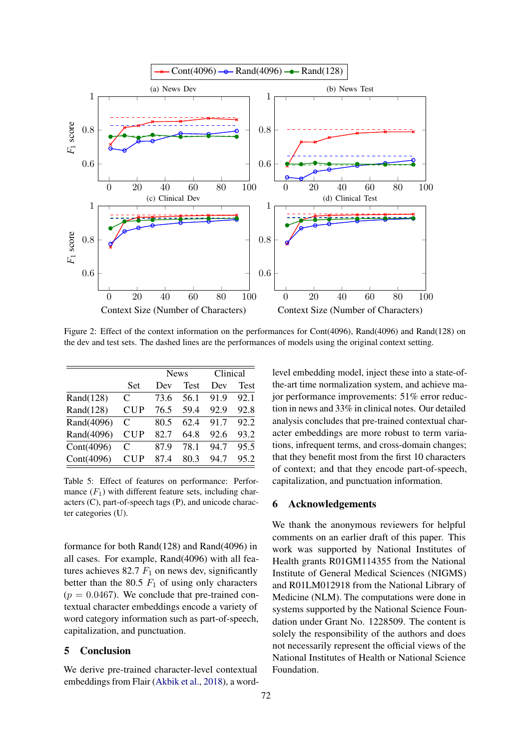<span id="page-4-0"></span>

Figure 2: Effect of the context information on the performances for Cont(4096), Rand(4096) and Rand(128) on the dev and test sets. The dashed lines are the performances of models using the original context setting.

<span id="page-4-1"></span>

|              |            | <b>News</b> |             | Clinical |             |
|--------------|------------|-------------|-------------|----------|-------------|
|              | Set        | Dev         | <b>Test</b> | Dev      | <b>Test</b> |
| Rand $(128)$ | C          | 73.6        | 56.1        | 91.9     | 92.1        |
| Rand $(128)$ | <b>CUP</b> | 76.5        | 59.4        | 92.9     | 92.8        |
| Rand(4096)   | C          | 80.5        | 62.4        | 91.7     | 92.2        |
| Rand(4096)   | <b>CUP</b> | 82.7        | 64.8        | 92.6     | 93.2        |
| Cont(4096)   | C          | 87.9        | 78.1        | 94.7     | 95.5        |
| Cont(4096)   | CUP        | 87.4        | 80.3        | 94.7     | 95.2        |

Table 5: Effect of features on performance: Performance  $(F_1)$  with different feature sets, including characters (C), part-of-speech tags (P), and unicode character categories (U).

formance for both Rand(128) and Rand(4096) in all cases. For example, Rand(4096) with all features achieves 82.7  $F_1$  on news dev, significantly better than the 80.5  $F_1$  of using only characters  $(p = 0.0467)$ . We conclude that pre-trained contextual character embeddings encode a variety of word category information such as part-of-speech, capitalization, and punctuation.

# 5 Conclusion

We derive pre-trained character-level contextual embeddings from Flair [\(Akbik et al.,](#page-5-0) [2018\)](#page-5-0), a wordlevel embedding model, inject these into a state-ofthe-art time normalization system, and achieve major performance improvements: 51% error reduction in news and 33% in clinical notes. Our detailed analysis concludes that pre-trained contextual character embeddings are more robust to term variations, infrequent terms, and cross-domain changes; that they benefit most from the first 10 characters of context; and that they encode part-of-speech, capitalization, and punctuation information.

# 6 Acknowledgements

We thank the anonymous reviewers for helpful comments on an earlier draft of this paper. This work was supported by National Institutes of Health grants R01GM114355 from the National Institute of General Medical Sciences (NIGMS) and R01LM012918 from the National Library of Medicine (NLM). The computations were done in systems supported by the National Science Foundation under Grant No. 1228509. The content is solely the responsibility of the authors and does not necessarily represent the official views of the National Institutes of Health or National Science Foundation.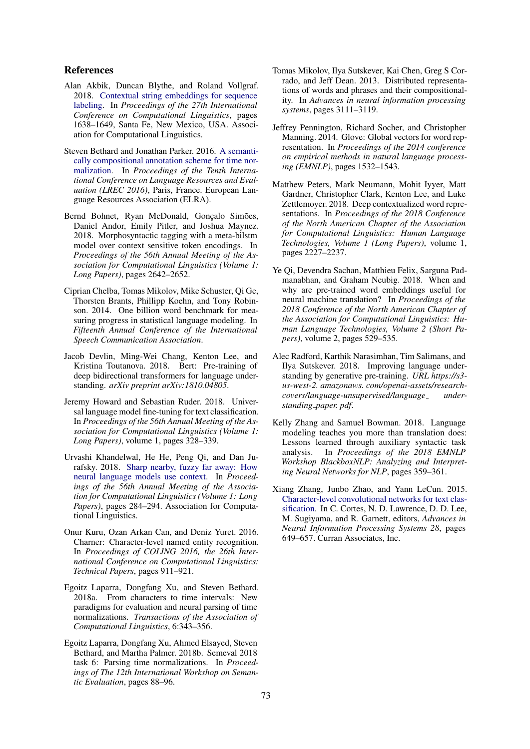# References

- <span id="page-5-0"></span>Alan Akbik, Duncan Blythe, and Roland Vollgraf. 2018. [Contextual string embeddings for sequence](http://www.aclweb.org/anthology/C18-1139) [labeling.](http://www.aclweb.org/anthology/C18-1139) In *Proceedings of the 27th International Conference on Computational Linguistics*, pages 1638–1649, Santa Fe, New Mexico, USA. Association for Computational Linguistics.
- <span id="page-5-16"></span>Steven Bethard and Jonathan Parker. 2016. [A semanti](http://www.lrec-conf.org/proceedings/lrec2016/pdf/288_Paper.pdf)[cally compositional annotation scheme for time nor](http://www.lrec-conf.org/proceedings/lrec2016/pdf/288_Paper.pdf)[malization.](http://www.lrec-conf.org/proceedings/lrec2016/pdf/288_Paper.pdf) In *Proceedings of the Tenth International Conference on Language Resources and Evaluation (LREC 2016)*, Paris, France. European Language Resources Association (ELRA).
- <span id="page-5-13"></span>Bernd Bohnet, Ryan McDonald, Gonçalo Simões, Daniel Andor, Emily Pitler, and Joshua Maynez. 2018. Morphosyntactic tagging with a meta-bilstm model over context sensitive token encodings. In *Proceedings of the 56th Annual Meeting of the Association for Computational Linguistics (Volume 1: Long Papers)*, pages 2642–2652.
- <span id="page-5-14"></span>Ciprian Chelba, Tomas Mikolov, Mike Schuster, Qi Ge, Thorsten Brants, Phillipp Koehn, and Tony Robinson. 2014. One billion word benchmark for measuring progress in statistical language modeling. In *Fifteenth Annual Conference of the International Speech Communication Association*.
- <span id="page-5-4"></span>Jacob Devlin, Ming-Wei Chang, Kenton Lee, and Kristina Toutanova. 2018. Bert: Pre-training of deep bidirectional transformers for language understanding. *arXiv preprint arXiv:1810.04805*.
- <span id="page-5-2"></span>Jeremy Howard and Sebastian Ruder. 2018. Universal language model fine-tuning for text classification. In *Proceedings of the 56th Annual Meeting of the Association for Computational Linguistics (Volume 1: Long Papers)*, volume 1, pages 328–339.
- <span id="page-5-7"></span>Urvashi Khandelwal, He He, Peng Qi, and Dan Jurafsky. 2018. [Sharp nearby, fuzzy far away: How](http://aclweb.org/anthology/P18-1027) [neural language models use context.](http://aclweb.org/anthology/P18-1027) In *Proceedings of the 56th Annual Meeting of the Association for Computational Linguistics (Volume 1: Long Papers)*, pages 284–294. Association for Computational Linguistics.
- <span id="page-5-11"></span>Onur Kuru, Ozan Arkan Can, and Deniz Yuret. 2016. Charner: Character-level named entity recognition. In *Proceedings of COLING 2016, the 26th International Conference on Computational Linguistics: Technical Papers*, pages 911–921.
- <span id="page-5-12"></span>Egoitz Laparra, Dongfang Xu, and Steven Bethard. 2018a. From characters to time intervals: New paradigms for evaluation and neural parsing of time normalizations. *Transactions of the Association of Computational Linguistics*, 6:343–356.
- <span id="page-5-15"></span>Egoitz Laparra, Dongfang Xu, Ahmed Elsayed, Steven Bethard, and Martha Palmer. 2018b. Semeval 2018 task 6: Parsing time normalizations. In *Proceedings of The 12th International Workshop on Semantic Evaluation*, pages 88–96.
- <span id="page-5-5"></span>Tomas Mikolov, Ilya Sutskever, Kai Chen, Greg S Corrado, and Jeff Dean. 2013. Distributed representations of words and phrases and their compositionality. In *Advances in neural information processing systems*, pages 3111–3119.
- <span id="page-5-6"></span>Jeffrey Pennington, Richard Socher, and Christopher Manning. 2014. Glove: Global vectors for word representation. In *Proceedings of the 2014 conference on empirical methods in natural language processing (EMNLP)*, pages 1532–1543.
- <span id="page-5-1"></span>Matthew Peters, Mark Neumann, Mohit Iyyer, Matt Gardner, Christopher Clark, Kenton Lee, and Luke Zettlemoyer. 2018. Deep contextualized word representations. In *Proceedings of the 2018 Conference of the North American Chapter of the Association for Computational Linguistics: Human Language Technologies, Volume 1 (Long Papers)*, volume 1, pages 2227–2237.
- <span id="page-5-8"></span>Ye Qi, Devendra Sachan, Matthieu Felix, Sarguna Padmanabhan, and Graham Neubig. 2018. When and why are pre-trained word embeddings useful for neural machine translation? In *Proceedings of the 2018 Conference of the North American Chapter of the Association for Computational Linguistics: Human Language Technologies, Volume 2 (Short Papers)*, volume 2, pages 529–535.
- <span id="page-5-3"></span>Alec Radford, Karthik Narasimhan, Tim Salimans, and Ilya Sutskever. 2018. Improving language understanding by generative pre-training. *URL https://s3 us-west-2. amazonaws. com/openai-assets/researchcovers/language-unsupervised/language understanding paper. pdf*.
- <span id="page-5-9"></span>Kelly Zhang and Samuel Bowman. 2018. Language modeling teaches you more than translation does: Lessons learned through auxiliary syntactic task analysis. In *Proceedings of the 2018 EMNLP Workshop BlackboxNLP: Analyzing and Interpreting Neural Networks for NLP*, pages 359–361.
- <span id="page-5-10"></span>Xiang Zhang, Junbo Zhao, and Yann LeCun. 2015. [Character-level convolutional networks for text clas](http://papers.nips.cc/paper/5782-character-level-convolutional-networks-for-text-classification.pdf)[sification.](http://papers.nips.cc/paper/5782-character-level-convolutional-networks-for-text-classification.pdf) In C. Cortes, N. D. Lawrence, D. D. Lee, M. Sugiyama, and R. Garnett, editors, *Advances in Neural Information Processing Systems 28*, pages 649–657. Curran Associates, Inc.